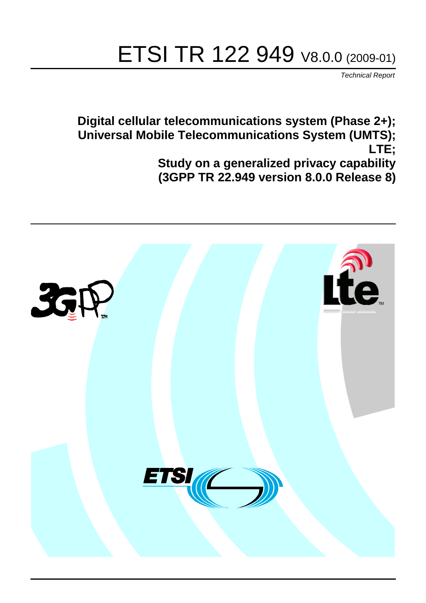# ETSI TR 122 949 V8.0.0 (2009-01)

*Technical Report*

**Digital cellular telecommunications system (Phase 2+); Universal Mobile Telecommunications System (UMTS); LTE; Study on a generalized privacy capability (3GPP TR 22.949 version 8.0.0 Release 8)**

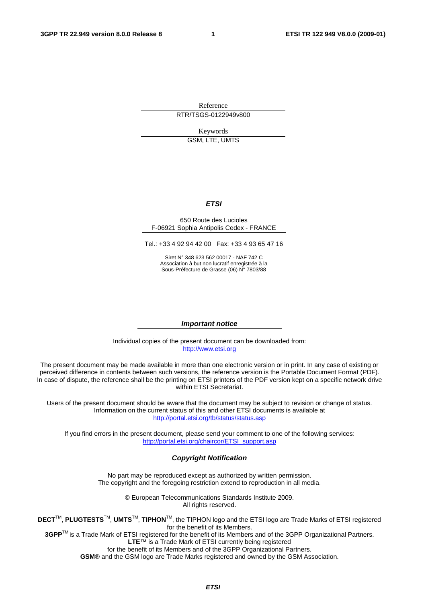Reference RTR/TSGS-0122949v800

> Keywords GSM, LTE, UMTS

## *ETSI*

#### 650 Route des Lucioles F-06921 Sophia Antipolis Cedex - FRANCE

Tel.: +33 4 92 94 42 00 Fax: +33 4 93 65 47 16

Siret N° 348 623 562 00017 - NAF 742 C Association à but non lucratif enregistrée à la Sous-Préfecture de Grasse (06) N° 7803/88

#### *Important notice*

Individual copies of the present document can be downloaded from: [http://www.etsi.org](http://www.etsi.org/)

The present document may be made available in more than one electronic version or in print. In any case of existing or perceived difference in contents between such versions, the reference version is the Portable Document Format (PDF). In case of dispute, the reference shall be the printing on ETSI printers of the PDF version kept on a specific network drive within ETSI Secretariat.

Users of the present document should be aware that the document may be subject to revision or change of status. Information on the current status of this and other ETSI documents is available at <http://portal.etsi.org/tb/status/status.asp>

If you find errors in the present document, please send your comment to one of the following services: [http://portal.etsi.org/chaircor/ETSI\\_support.asp](http://portal.etsi.org/chaircor/ETSI_support.asp)

### *Copyright Notification*

No part may be reproduced except as authorized by written permission. The copyright and the foregoing restriction extend to reproduction in all media.

> © European Telecommunications Standards Institute 2009. All rights reserved.

**DECT**TM, **PLUGTESTS**TM, **UMTS**TM, **TIPHON**TM, the TIPHON logo and the ETSI logo are Trade Marks of ETSI registered for the benefit of its Members.

**3GPP**TM is a Trade Mark of ETSI registered for the benefit of its Members and of the 3GPP Organizational Partners. **LTE**™ is a Trade Mark of ETSI currently being registered

for the benefit of its Members and of the 3GPP Organizational Partners.

**GSM**® and the GSM logo are Trade Marks registered and owned by the GSM Association.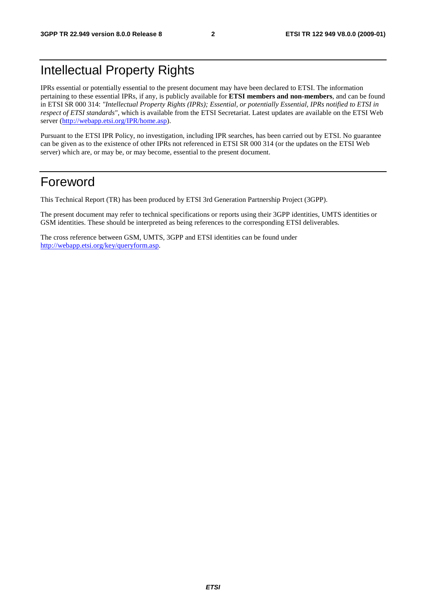## Intellectual Property Rights

IPRs essential or potentially essential to the present document may have been declared to ETSI. The information pertaining to these essential IPRs, if any, is publicly available for **ETSI members and non-members**, and can be found in ETSI SR 000 314: *"Intellectual Property Rights (IPRs); Essential, or potentially Essential, IPRs notified to ETSI in respect of ETSI standards"*, which is available from the ETSI Secretariat. Latest updates are available on the ETSI Web server [\(http://webapp.etsi.org/IPR/home.asp\)](http://webapp.etsi.org/IPR/home.asp).

Pursuant to the ETSI IPR Policy, no investigation, including IPR searches, has been carried out by ETSI. No guarantee can be given as to the existence of other IPRs not referenced in ETSI SR 000 314 (or the updates on the ETSI Web server) which are, or may be, or may become, essential to the present document.

## Foreword

This Technical Report (TR) has been produced by ETSI 3rd Generation Partnership Project (3GPP).

The present document may refer to technical specifications or reports using their 3GPP identities, UMTS identities or GSM identities. These should be interpreted as being references to the corresponding ETSI deliverables.

The cross reference between GSM, UMTS, 3GPP and ETSI identities can be found under [http://webapp.etsi.org/key/queryform.asp.](http://webapp.etsi.org/key/queryform.asp)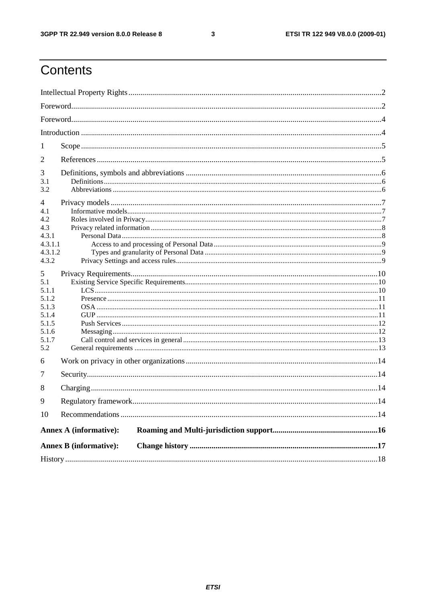### $\mathbf{3}$

## Contents

| -1                            |                               |  |  |  |  |  |  |
|-------------------------------|-------------------------------|--|--|--|--|--|--|
| 2                             |                               |  |  |  |  |  |  |
| 3<br>3.1<br>3.2               |                               |  |  |  |  |  |  |
| 4<br>4.1<br>4.2               |                               |  |  |  |  |  |  |
| 4.3                           |                               |  |  |  |  |  |  |
| 4.3.1                         |                               |  |  |  |  |  |  |
| 4.3.1.1<br>4.3.1.2            |                               |  |  |  |  |  |  |
| 4.3.2                         |                               |  |  |  |  |  |  |
| 5<br>5.1                      |                               |  |  |  |  |  |  |
| 5.1.1<br>5.1.2                |                               |  |  |  |  |  |  |
| 5.1.3                         |                               |  |  |  |  |  |  |
| 5.1.4                         |                               |  |  |  |  |  |  |
| 5.1.5<br>5.1.6                |                               |  |  |  |  |  |  |
| 5.1.7                         |                               |  |  |  |  |  |  |
| 5.2                           |                               |  |  |  |  |  |  |
| 6                             |                               |  |  |  |  |  |  |
| 7                             |                               |  |  |  |  |  |  |
| 8                             |                               |  |  |  |  |  |  |
| 9                             |                               |  |  |  |  |  |  |
| 10                            |                               |  |  |  |  |  |  |
| <b>Annex A (informative):</b> |                               |  |  |  |  |  |  |
|                               | <b>Annex B</b> (informative): |  |  |  |  |  |  |
|                               |                               |  |  |  |  |  |  |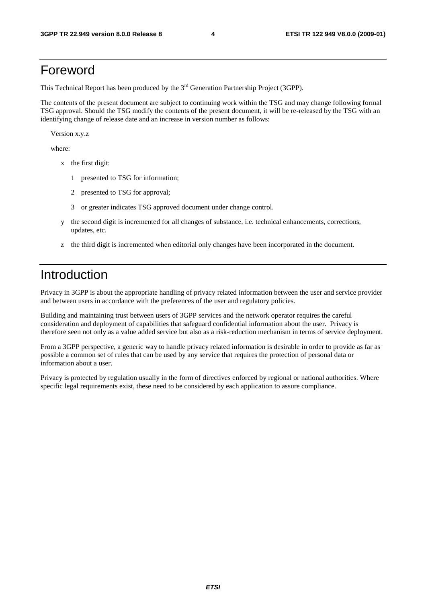## Foreword

This Technical Report has been produced by the  $3<sup>rd</sup>$  Generation Partnership Project (3GPP).

The contents of the present document are subject to continuing work within the TSG and may change following formal TSG approval. Should the TSG modify the contents of the present document, it will be re-released by the TSG with an identifying change of release date and an increase in version number as follows:

Version x.y.z

where:

- x the first digit:
	- 1 presented to TSG for information;
	- 2 presented to TSG for approval;
	- 3 or greater indicates TSG approved document under change control.
- y the second digit is incremented for all changes of substance, i.e. technical enhancements, corrections, updates, etc.
- z the third digit is incremented when editorial only changes have been incorporated in the document.

## Introduction

Privacy in 3GPP is about the appropriate handling of privacy related information between the user and service provider and between users in accordance with the preferences of the user and regulatory policies.

Building and maintaining trust between users of 3GPP services and the network operator requires the careful consideration and deployment of capabilities that safeguard confidential information about the user. Privacy is therefore seen not only as a value added service but also as a risk-reduction mechanism in terms of service deployment.

From a 3GPP perspective, a generic way to handle privacy related information is desirable in order to provide as far as possible a common set of rules that can be used by any service that requires the protection of personal data or information about a user.

Privacy is protected by regulation usually in the form of directives enforced by regional or national authorities. Where specific legal requirements exist, these need to be considered by each application to assure compliance.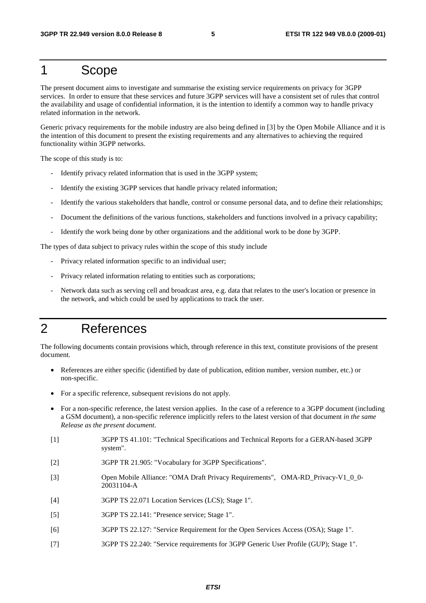### 1 Scope

The present document aims to investigate and summarise the existing service requirements on privacy for 3GPP services. In order to ensure that these services and future 3GPP services will have a consistent set of rules that control the availability and usage of confidential information, it is the intention to identify a common way to handle privacy related information in the network.

Generic privacy requirements for the mobile industry are also being defined in [3] by the Open Mobile Alliance and it is the intention of this document to present the existing requirements and any alternatives to achieving the required functionality within 3GPP networks.

The scope of this study is to:

- Identify privacy related information that is used in the 3GPP system;
- Identify the existing 3GPP services that handle privacy related information;
- Identify the various stakeholders that handle, control or consume personal data, and to define their relationships;
- Document the definitions of the various functions, stakeholders and functions involved in a privacy capability;
- Identify the work being done by other organizations and the additional work to be done by 3GPP.

The types of data subject to privacy rules within the scope of this study include

- Privacy related information specific to an individual user;
- Privacy related information relating to entities such as corporations;
- Network data such as serving cell and broadcast area, e.g. data that relates to the user's location or presence in the network, and which could be used by applications to track the user.

## 2 References

The following documents contain provisions which, through reference in this text, constitute provisions of the present document.

- References are either specific (identified by date of publication, edition number, version number, etc.) or non-specific.
- For a specific reference, subsequent revisions do not apply.
- For a non-specific reference, the latest version applies. In the case of a reference to a 3GPP document (including a GSM document), a non-specific reference implicitly refers to the latest version of that document *in the same Release as the present document*.
- [1] 3GPP TS 41.101: "Technical Specifications and Technical Reports for a GERAN-based 3GPP system".
- [2] 3GPP TR 21.905: "Vocabulary for 3GPP Specifications".
- [3] Open Mobile Alliance: "OMA Draft Privacy Requirements", OMA-RD\_Privacy-V1\_0\_0- 20031104-A
- [4] 3GPP TS 22.071 Location Services (LCS); Stage 1".
- [5] 3GPP TS 22.141: "Presence service; Stage 1".
- [6] 3GPP TS 22.127: "Service Requirement for the Open Services Access (OSA); Stage 1".
- [7] 3GPP TS 22.240: "Service requirements for 3GPP Generic User Profile (GUP); Stage 1".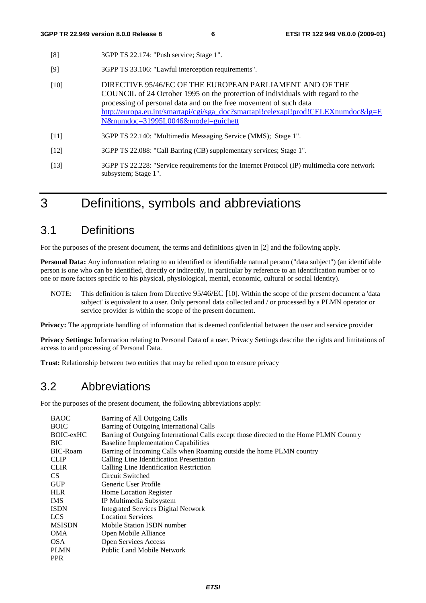- [8] 3GPP TS 22.174: "Push service; Stage 1".
- [9] 3GPP TS 33.106: "Lawful interception requirements".
- [10] DIRECTIVE 95/46/EC OF THE EUROPEAN PARLIAMENT AND OF THE COUNCIL of 24 October 1995 on the protection of individuals with regard to the processing of personal data and on the free movement of such data [http://europa.eu.int/smartapi/cgi/sga\\_doc?smartapi!celexapi!prod!CELEXnumdoc&lg=E](http://europa.eu.int/smartapi/cgi/sga_doc?smartapi!celexapi!prod!CELEXnumdoc&lg=EN&numdoc=31995L0046&model=guichett) [N&numdoc=31995L0046&model=guichett](http://europa.eu.int/smartapi/cgi/sga_doc?smartapi!celexapi!prod!CELEXnumdoc&lg=EN&numdoc=31995L0046&model=guichett)
- [11] 3GPP TS 22.140: "Multimedia Messaging Service (MMS); Stage 1".
- [12] 3GPP TS 22.088: "Call Barring (CB) supplementary services; Stage 1".
- [13] 3GPP TS 22.228: "Service requirements for the Internet Protocol (IP) multimedia core network subsystem; Stage 1".

## 3 Definitions, symbols and abbreviations

## 3.1 Definitions

For the purposes of the present document, the terms and definitions given in [2] and the following apply.

**Personal Data:** Any information relating to an identified or identifiable natural person ("data subject") (an identifiable person is one who can be identified, directly or indirectly, in particular by reference to an identification number or to one or more factors specific to his physical, physiological, mental, economic, cultural or social identity).

NOTE: This definition is taken from Directive 95/46/EC [10]. Within the scope of the present document a 'data subject' is equivalent to a user. Only personal data collected and / or processed by a PLMN operator or service provider is within the scope of the present document.

**Privacy:** The appropriate handling of information that is deemed confidential between the user and service provider

**Privacy Settings:** Information relating to Personal Data of a user. Privacy Settings describe the rights and limitations of access to and processing of Personal Data.

**Trust:** Relationship between two entities that may be relied upon to ensure privacy

## 3.2 Abbreviations

For the purposes of the present document, the following abbreviations apply:

| <b>BAOC</b>     | Barring of All Outgoing Calls                                                          |
|-----------------|----------------------------------------------------------------------------------------|
| <b>BOIC</b>     | Barring of Outgoing International Calls                                                |
| BOIC-exHC       | Barring of Outgoing International Calls except those directed to the Home PLMN Country |
| BIC             | <b>Baseline Implementation Capabilities</b>                                            |
| <b>BIC-Roam</b> | Barring of Incoming Calls when Roaming outside the home PLMN country                   |
| <b>CLIP</b>     | Calling Line Identification Presentation                                               |
| <b>CLIR</b>     | Calling Line Identification Restriction                                                |
| CS.             | Circuit Switched                                                                       |
| <b>GUP</b>      | Generic User Profile                                                                   |
| <b>HLR</b>      | Home Location Register                                                                 |
| IMS.            | IP Multimedia Subsystem                                                                |
| ISDN            | <b>Integrated Services Digital Network</b>                                             |
| LCS.            | <b>Location Services</b>                                                               |
| <b>MSISDN</b>   | Mobile Station ISDN number                                                             |
| OMA             | Open Mobile Alliance                                                                   |
| OSA.            | <b>Open Services Access</b>                                                            |
| PLMN            | <b>Public Land Mobile Network</b>                                                      |
| <b>PPR</b>      |                                                                                        |
|                 |                                                                                        |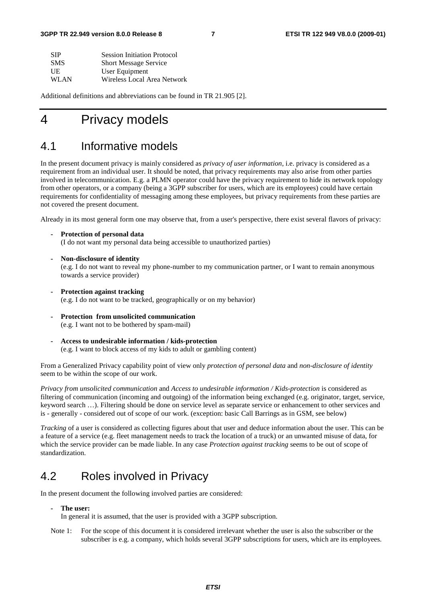| <b>SIP</b> | <b>Session Initiation Protocol</b> |
|------------|------------------------------------|
| <b>SMS</b> | <b>Short Message Service</b>       |
| UE         | User Equipment                     |
| WLAN       | Wireless Local Area Network        |

Additional definitions and abbreviations can be found in TR 21.905 [2].

## 4 Privacy models

### 4.1 Informative models

In the present document privacy is mainly considered as *privacy of user information*, i.e. privacy is considered as a requirement from an individual user. It should be noted, that privacy requirements may also arise from other parties involved in telecommunication. E.g. a PLMN operator could have the privacy requirement to hide its network topology from other operators, or a company (being a 3GPP subscriber for users, which are its employees) could have certain requirements for confidentiality of messaging among these employees, but privacy requirements from these parties are not covered the present document.

Already in its most general form one may observe that, from a user's perspective, there exist several flavors of privacy:

- **Protection of personal data**  (I do not want my personal data being accessible to unauthorized parties)
- **Non-disclosure of identity**  (e.g. I do not want to reveal my phone-number to my communication partner, or I want to remain anonymous towards a service provider)
- **Protection against tracking**  (e.g. I do not want to be tracked, geographically or on my behavior)
- **Protection from unsolicited communication**  (e.g. I want not to be bothered by spam-mail)
- **Access to undesirable information / kids-protection**  (e.g. I want to block access of my kids to adult or gambling content)

From a Generalized Privacy capability point of view only *protection of personal data* and *non-disclosure of identity*  seem to be within the scope of our work.

*Privacy from unsolicited communication* and *Access to undesirable information / Kids-protection* is considered as filtering of communication (incoming and outgoing) of the information being exchanged (e.g. originator, target, service, keyword search …). Filtering should be done on service level as separate service or enhancement to other services and is - generally - considered out of scope of our work. (exception: basic Call Barrings as in GSM, see below)

*Tracking* of a user is considered as collecting figures about that user and deduce information about the user. This can be a feature of a service (e.g. fleet management needs to track the location of a truck) or an unwanted misuse of data, for which the service provider can be made liable. In any case *Protection against tracking* seems to be out of scope of standardization.

## 4.2 Roles involved in Privacy

In the present document the following involved parties are considered:

### **- The user:**

In general it is assumed, that the user is provided with a 3GPP subscription.

Note 1: For the scope of this document it is considered irrelevant whether the user is also the subscriber or the subscriber is e.g. a company, which holds several 3GPP subscriptions for users, which are its employees.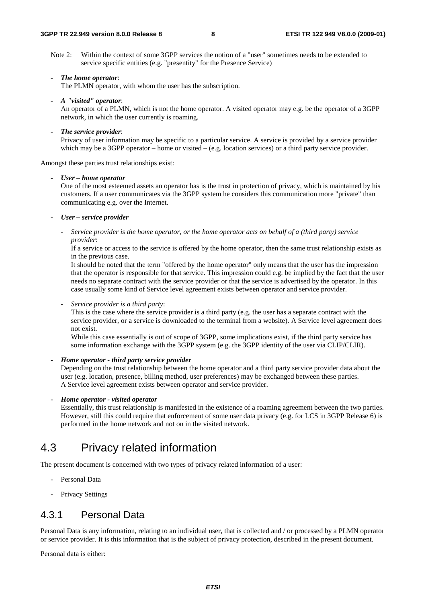Note 2: Within the context of some 3GPP services the notion of a "user" sometimes needs to be extended to service specific entities (e.g. "presentity" for the Presence Service)

#### *- The home operator*:

The PLMN operator, with whom the user has the subscription.

*- A "visited" operator*:

An operator of a PLMN, which is not the home operator. A visited operator may e.g. be the operator of a 3GPP network, in which the user currently is roaming.

*- The service provider*:

Privacy of user information may be specific to a particular service. A service is provided by a service provider which may be a 3GPP operator – home or visited – (e.g. location services) or a third party service provider.

Amongst these parties trust relationships exist:

#### *- User – home operator*

One of the most esteemed assets an operator has is the trust in protection of privacy, which is maintained by his customers. If a user communicates via the 3GPP system he considers this communication more "private" than communicating e.g. over the Internet.

### *- User – service provider*

*- Service provider is the home operator, or the home operator acts on behalf of a (third party) service provider*:

If a service or access to the service is offered by the home operator, then the same trust relationship exists as in the previous case.

It should be noted that the term "offered by the home operator" only means that the user has the impression that the operator is responsible for that service. This impression could e.g. be implied by the fact that the user needs no separate contract with the service provider or that the service is advertised by the operator. In this case usually some kind of Service level agreement exists between operator and service provider.

*- Service provider is a third party*:

This is the case where the service provider is a third party (e.g. the user has a separate contract with the service provider, or a service is downloaded to the terminal from a website). A Service level agreement does not exist.

While this case essentially is out of scope of 3GPP, some implications exist, if the third party service has some information exchange with the 3GPP system (e.g. the 3GPP identity of the user via CLIP/CLIR).

### *- Home operator - third party service provider*

Depending on the trust relationship between the home operator and a third party service provider data about the user (e.g. location, presence, billing method, user preferences) may be exchanged between these parties. A Service level agreement exists between operator and service provider.

#### *- Home operator - visited operator*

Essentially, this trust relationship is manifested in the existence of a roaming agreement between the two parties. However, still this could require that enforcement of some user data privacy (e.g. for LCS in 3GPP Release 6) is performed in the home network and not on in the visited network.

### 4.3 Privacy related information

The present document is concerned with two types of privacy related information of a user:

- Personal Data
- Privacy Settings

### 4.3.1 Personal Data

Personal Data is any information, relating to an individual user, that is collected and / or processed by a PLMN operator or service provider. It is this information that is the subject of privacy protection, described in the present document.

Personal data is either: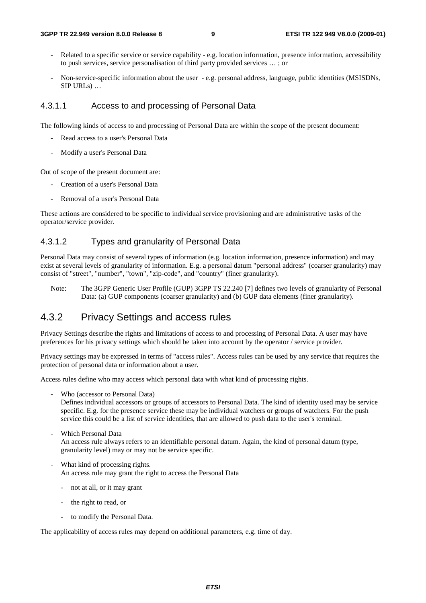- Related to a specific service or service capability e.g. location information, presence information, accessibility to push services, service personalisation of third party provided services … ; or
- Non-service-specific information about the user e.g. personal address, language, public identities (MSISDNs, SIP URLs) …

### 4.3.1.1 Access to and processing of Personal Data

The following kinds of access to and processing of Personal Data are within the scope of the present document:

- Read access to a user's Personal Data
- Modify a user's Personal Data

Out of scope of the present document are:

- Creation of a user's Personal Data
- Removal of a user's Personal Data

These actions are considered to be specific to individual service provisioning and are administrative tasks of the operator/service provider.

### 4.3.1.2 Types and granularity of Personal Data

Personal Data may consist of several types of information (e.g. location information, presence information) and may exist at several levels of granularity of information. E.g. a personal datum "personal address" (coarser granularity) may consist of "street", "number", "town", "zip-code", and "country" (finer granularity).

Note: The 3GPP Generic User Profile (GUP) 3GPP TS 22.240 [7] defines two levels of granularity of Personal Data: (a) GUP components (coarser granularity) and (b) GUP data elements (finer granularity).

### 4.3.2 Privacy Settings and access rules

Privacy Settings describe the rights and limitations of access to and processing of Personal Data. A user may have preferences for his privacy settings which should be taken into account by the operator / service provider.

Privacy settings may be expressed in terms of "access rules". Access rules can be used by any service that requires the protection of personal data or information about a user.

Access rules define who may access which personal data with what kind of processing rights.

- Who (accessor to Personal Data)

Defines individual accessors or groups of accessors to Personal Data. The kind of identity used may be service specific. E.g. for the presence service these may be individual watchers or groups of watchers. For the push service this could be a list of service identities, that are allowed to push data to the user's terminal.

- Which Personal Data An access rule always refers to an identifiable personal datum. Again, the kind of personal datum (type, granularity level) may or may not be service specific.
- What kind of processing rights. An access rule may grant the right to access the Personal Data
	- not at all, or it may grant
	- the right to read, or
	- to modify the Personal Data.

The applicability of access rules may depend on additional parameters, e.g. time of day.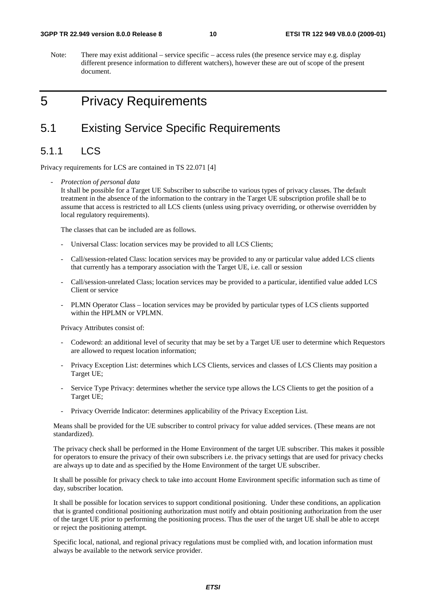Note: There may exist additional – service specific – access rules (the presence service may e.g. display different presence information to different watchers), however these are out of scope of the present document.

## 5 Privacy Requirements

### 5.1 Existing Service Specific Requirements

### 5.1.1 LCS

Privacy requirements for LCS are contained in TS 22.071 [4]

*- Protection of personal data*

It shall be possible for a Target UE Subscriber to subscribe to various types of privacy classes. The default treatment in the absence of the information to the contrary in the Target UE subscription profile shall be to assume that access is restricted to all LCS clients (unless using privacy overriding, or otherwise overridden by local regulatory requirements).

The classes that can be included are as follows.

- Universal Class: location services may be provided to all LCS Clients;
- Call/session-related Class: location services may be provided to any or particular value added LCS clients that currently has a temporary association with the Target UE, i.e. call or session
- Call/session-unrelated Class; location services may be provided to a particular, identified value added LCS Client or service
- PLMN Operator Class location services may be provided by particular types of LCS clients supported within the HPLMN or VPLMN.

Privacy Attributes consist of:

- Codeword: an additional level of security that may be set by a Target UE user to determine which Requestors are allowed to request location information;
- Privacy Exception List: determines which LCS Clients, services and classes of LCS Clients may position a Target UE;
- Service Type Privacy: determines whether the service type allows the LCS Clients to get the position of a Target UE;
- Privacy Override Indicator: determines applicability of the Privacy Exception List.

Means shall be provided for the UE subscriber to control privacy for value added services. (These means are not standardized).

The privacy check shall be performed in the Home Environment of the target UE subscriber. This makes it possible for operators to ensure the privacy of their own subscribers i.e. the privacy settings that are used for privacy checks are always up to date and as specified by the Home Environment of the target UE subscriber.

It shall be possible for privacy check to take into account Home Environment specific information such as time of day, subscriber location.

It shall be possible for location services to support conditional positioning. Under these conditions, an application that is granted conditional positioning authorization must notify and obtain positioning authorization from the user of the target UE prior to performing the positioning process. Thus the user of the target UE shall be able to accept or reject the positioning attempt.

Specific local, national, and regional privacy regulations must be complied with, and location information must always be available to the network service provider.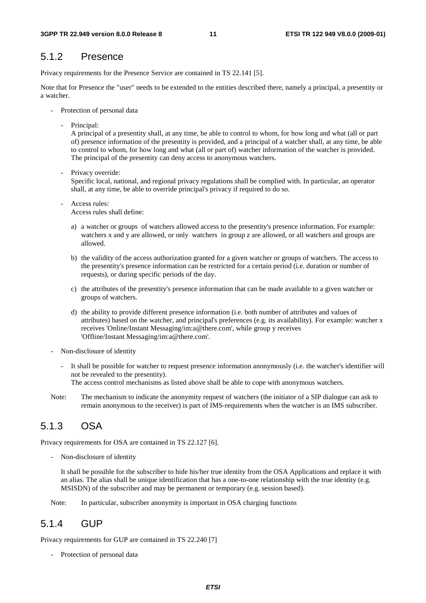### 5.1.2 Presence

Privacy requirements for the Presence Service are contained in TS 22.141 [5].

Note that for Presence the "user" needs to be extended to the entities described there, namely a principal, a presentity or a watcher.

- Protection of personal data
	- Principal:

A principal of a presentity shall, at any time, be able to control to whom, for how long and what (all or part of) presence information of the presentity is provided, and a principal of a watcher shall, at any time, be able to control to whom, for how long and what (all or part of) watcher information of the watcher is provided. The principal of the presentity can deny access to anonymous watchers.

Privacy override:

Specific local, national, and regional privacy regulations shall be complied with. In particular, an operator shall, at any time, be able to override principal's privacy if required to do so.

Access rules: Access rules shall define:

allowed.

a) a watcher or groups of watchers allowed access to the presentity's presence information. For example: watchers x and y are allowed, or only watchers in group z are allowed, or all watchers and groups are

- b) the validity of the access authorization granted for a given watcher or groups of watchers. The access to the presentity's presence information can be restricted for a certain period (i.e. duration or number of requests), or during specific periods of the day.
- c) the attributes of the presentity's presence information that can be made available to a given watcher or groups of watchers.
- d) the ability to provide different presence information (i.e. both number of attributes and values of attributes) based on the watcher, and principal's preferences (e.g. its availability). For example: watcher x receives 'Online/Instant Messaging/im:a@there.com', while group y receives 'Offline/Instant Messaging/im:a@there.com'.
- Non-disclosure of identity
	- It shall be possible for watcher to request presence information anonymously (i.e. the watcher's identifier will not be revealed to the presentity).

The access control mechanisms as listed above shall be able to cope with anonymous watchers.

Note: The mechanism to indicate the anonymity request of watchers (the initiator of a SIP dialogue can ask to remain anonymous to the receiver) is part of IMS-requirements when the watcher is an IMS subscriber.

### 5.1.3 OSA

Privacy requirements for OSA are contained in TS 22.127 [6].

Non-disclosure of identity

It shall be possible for the subscriber to hide his/her true identity from the OSA Applications and replace it with an alias. The alias shall be unique identification that has a one-to-one relationship with the true identity (e.g. MSISDN) of the subscriber and may be permanent or temporary (e.g. session based).

Note: In particular, subscriber anonymity is important in OSA charging functions

### 5.1.4 GUP

Privacy requirements for GUP are contained in TS 22.240 [7]

- Protection of personal data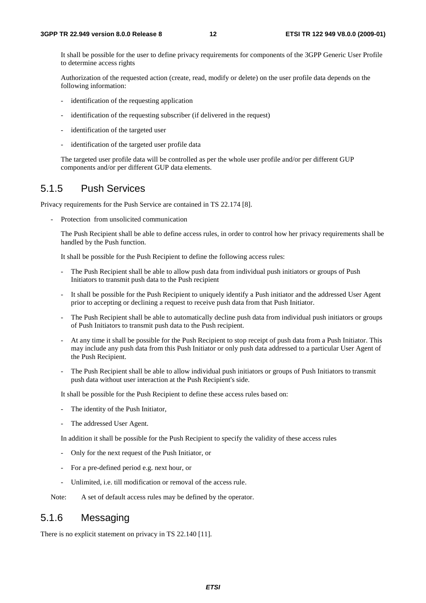It shall be possible for the user to define privacy requirements for components of the 3GPP Generic User Profile to determine access rights

Authorization of the requested action (create, read, modify or delete) on the user profile data depends on the following information:

- identification of the requesting application
- identification of the requesting subscriber (if delivered in the request)
- identification of the targeted user
- identification of the targeted user profile data

The targeted user profile data will be controlled as per the whole user profile and/or per different GUP components and/or per different GUP data elements.

### 5.1.5 Push Services

Privacy requirements for the Push Service are contained in TS 22.174 [8].

Protection from unsolicited communication

The Push Recipient shall be able to define access rules, in order to control how her privacy requirements shall be handled by the Push function.

It shall be possible for the Push Recipient to define the following access rules:

- The Push Recipient shall be able to allow push data from individual push initiators or groups of Push Initiators to transmit push data to the Push recipient
- It shall be possible for the Push Recipient to uniquely identify a Push initiator and the addressed User Agent prior to accepting or declining a request to receive push data from that Push Initiator.
- The Push Recipient shall be able to automatically decline push data from individual push initiators or groups of Push Initiators to transmit push data to the Push recipient.
- At any time it shall be possible for the Push Recipient to stop receipt of push data from a Push Initiator. This may include any push data from this Push Initiator or only push data addressed to a particular User Agent of the Push Recipient.
- The Push Recipient shall be able to allow individual push initiators or groups of Push Initiators to transmit push data without user interaction at the Push Recipient's side.

It shall be possible for the Push Recipient to define these access rules based on:

- The identity of the Push Initiator,
- The addressed User Agent.

In addition it shall be possible for the Push Recipient to specify the validity of these access rules

- Only for the next request of the Push Initiator, or
- For a pre-defined period e.g. next hour, or
- Unlimited, i.e. till modification or removal of the access rule.

Note: A set of default access rules may be defined by the operator.

### 5.1.6 Messaging

There is no explicit statement on privacy in TS 22.140 [11].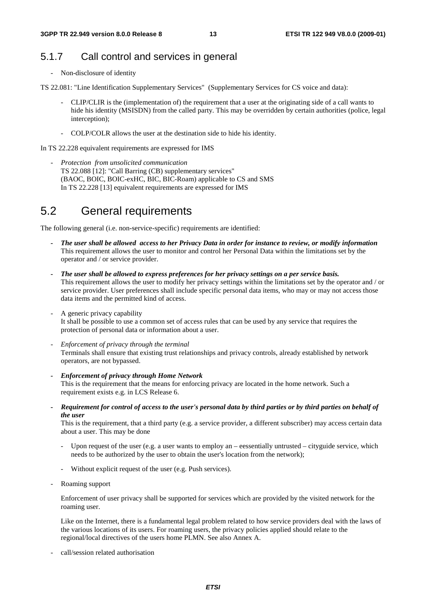### 5.1.7 Call control and services in general

- Non-disclosure of identity
- TS 22.081: "Line Identification Supplementary Services" (Supplementary Services for CS voice and data):
	- CLIP/CLIR is the (implementation of) the requirement that a user at the originating side of a call wants to hide his identity (MSISDN) from the called party. This may be overridden by certain authorities (police, legal interception);
	- COLP/COLR allows the user at the destination side to hide his identity.

In TS 22.228 equivalent requirements are expressed for IMS

*- Protection from unsolicited communication* TS 22.088 [12]: "Call Barring (CB) supplementary services" (BAOC, BOIC, BOIC-exHC, BIC, BIC-Roam) applicable to CS and SMS In TS 22.228 [13] equivalent requirements are expressed for IMS

### 5.2 General requirements

The following general (i.e. non-service-specific) requirements are identified:

- *The user shall be allowed access to her Privacy Data in order for instance to review, or modify information*  This requirement allows the user to monitor and control her Personal Data within the limitations set by the operator and / or service provider.
- *The user shall be allowed to express preferences for her privacy settings on a per service basis.*  This requirement allows the user to modify her privacy settings within the limitations set by the operator and / or service provider. User preferences shall include specific personal data items, who may or may not access those data items and the permitted kind of access.
- A generic privacy capability It shall be possible to use a common set of access rules that can be used by any service that requires the protection of personal data or information about a user.
- *Enforcement of privacy through the terminal* Terminals shall ensure that existing trust relationships and privacy controls, already established by network operators, are not bypassed.
- *Enforcement of privacy through Home Network*  This is the requirement that the means for enforcing privacy are located in the home network. Such a requirement exists e.g. in LCS Release 6.
- *Requirement for control of access to the user's personal data by third parties or by third parties on behalf of the user*

This is the requirement, that a third party (e.g. a service provider, a different subscriber) may access certain data about a user. This may be done

- Upon request of the user (e.g. a user wants to employ an eessentially untrusted cityguide service, which needs to be authorized by the user to obtain the user's location from the network);
- Without explicit request of the user (e.g. Push services).
- Roaming support

Enforcement of user privacy shall be supported for services which are provided by the visited network for the roaming user.

 Like on the Internet, there is a fundamental legal problem related to how service providers deal with the laws of the various locations of its users. For roaming users, the privacy policies applied should relate to the regional/local directives of the users home PLMN. See also Annex A.

- call/session related authorisation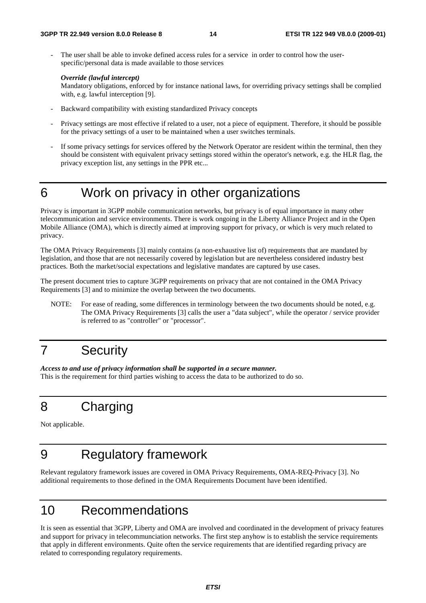The user shall be able to invoke defined access rules for a service in order to control how the userspecific/personal data is made available to those services

### *Override (lawful intercept)*

Mandatory obligations, enforced by for instance national laws, for overriding privacy settings shall be complied with, e.g. lawful interception [9].

- Backward compatibility with existing standardized Privacy concepts
- Privacy settings are most effective if related to a user, not a piece of equipment. Therefore, it should be possible for the privacy settings of a user to be maintained when a user switches terminals.
- If some privacy settings for services offered by the Network Operator are resident within the terminal, then they should be consistent with equivalent privacy settings stored within the operator's network, e.g. the HLR flag, the privacy exception list, any settings in the PPR etc...
- 

### 6 Work on privacy in other organizations

Privacy is important in 3GPP mobile communication networks, but privacy is of equal importance in many other telecommunication and service environments. There is work ongoing in the Liberty Alliance Project and in the Open Mobile Alliance (OMA), which is directly aimed at improving support for privacy, or which is very much related to privacy.

The OMA Privacy Requirements [3] mainly contains (a non-exhaustive list of) requirements that are mandated by legislation, and those that are not necessarily covered by legislation but are nevertheless considered industry best practices. Both the market/social expectations and legislative mandates are captured by use cases.

The present document tries to capture 3GPP requirements on privacy that are not contained in the OMA Privacy Requirements [3] and to minimize the overlap between the two documents.

NOTE: For ease of reading, some differences in terminology between the two documents should be noted, e.g. The OMA Privacy Requirements [3] calls the user a "data subject", while the operator / service provider is referred to as "controller" or "processor".

## 7 Security

*Access to and use of privacy information shall be supported in a secure manner.*  This is the requirement for third parties wishing to access the data to be authorized to do so.

## 8 Charging

Not applicable.

## 9 Regulatory framework

Relevant regulatory framework issues are covered in OMA Privacy Requirements, OMA-REQ-Privacy [3]. No additional requirements to those defined in the OMA Requirements Document have been identified.

## 10 Recommendations

It is seen as essential that 3GPP, Liberty and OMA are involved and coordinated in the development of privacy features and support for privacy in telecommunciation networks. The first step anyhow is to establish the service requirements that apply in different environments. Quite often the service requirements that are identified regarding privacy are related to corresponding regulatory requirements.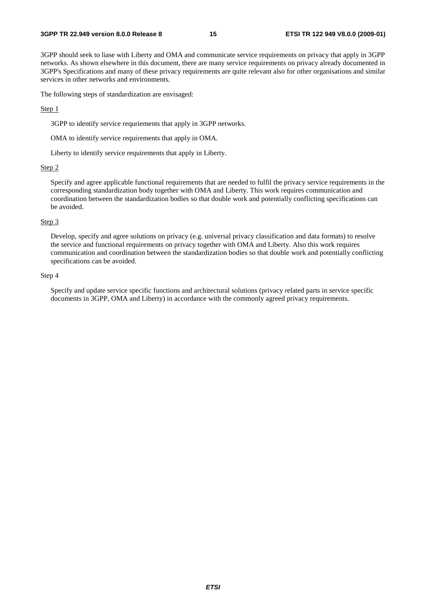3GPP should seek to liase with Liberty and OMA and communicate service requirements on privacy that apply in 3GPP networks. As shown elsewhere in this document, there are many service requirements on privacy already documented in 3GPP's Specifications and many of these privacy requirements are quite relevant also for other organisations and similar services in other networks and environments.

The following steps of standardization are envisaged:

#### Step 1

3GPP to identify service requriements that apply in 3GPP networks.

OMA to identify service requirements that apply in OMA.

Liberty to identify service requirements that apply in Liberty.

#### Step 2

Specify and agree applicable functional requirements that are needed to fulfil the privacy service requirements in the corresponding standardization body together with OMA and Liberty. This work requires communication and coordination between the standardization bodies so that double work and potentially conflicting specifications can be avoided.

#### Step 3

Develop, specify and agree solutions on privacy (e.g. universal privacy classification and data formats) to resolve the service and functional requirements on privacy together with OMA and Liberty. Also this work requires communication and coordination between the standardization bodies so that double work and potentially conflicting specifications can be avoided.

#### Step 4

Specify and update service specific functions and architectural solutions (privacy related parts in service specific documents in 3GPP, OMA and Liberty) in accordance with the commonly agreed privacy requirements.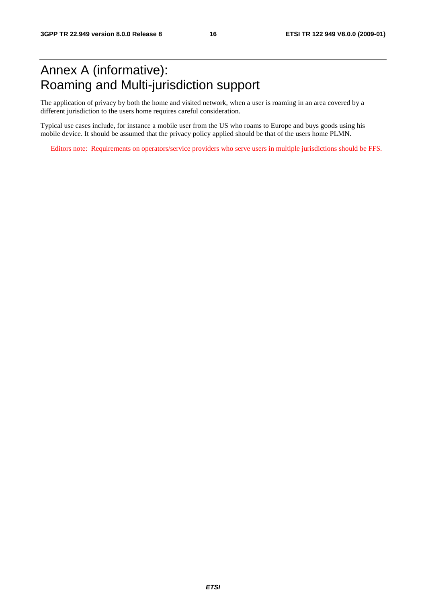## Annex A (informative): Roaming and Multi-jurisdiction support

The application of privacy by both the home and visited network, when a user is roaming in an area covered by a different jurisdiction to the users home requires careful consideration.

Typical use cases include, for instance a mobile user from the US who roams to Europe and buys goods using his mobile device. It should be assumed that the privacy policy applied should be that of the users home PLMN.

Editors note: Requirements on operators/service providers who serve users in multiple jurisdictions should be FFS.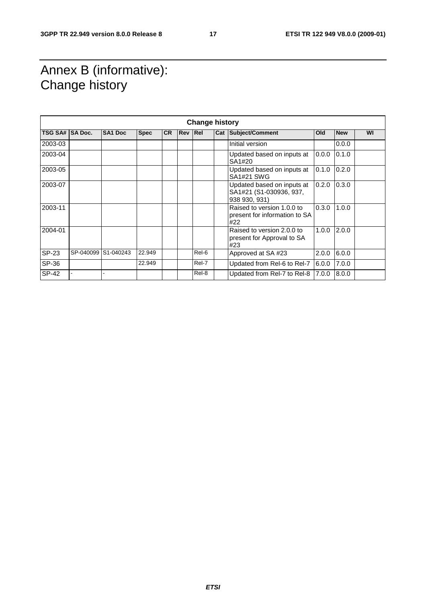## Annex B (informative): Change history

| <b>Change history</b> |                     |                |             |           |            |       |  |                                                                        |       |            |    |
|-----------------------|---------------------|----------------|-------------|-----------|------------|-------|--|------------------------------------------------------------------------|-------|------------|----|
| TSG SA# SA Doc.       |                     | <b>SA1 Doc</b> | <b>Spec</b> | <b>CR</b> | <b>Rev</b> | Re    |  | Cat Subject/Comment                                                    | Old   | <b>New</b> | WI |
| 2003-03               |                     |                |             |           |            |       |  | Initial version                                                        |       | 0.0.0      |    |
| 2003-04               |                     |                |             |           |            |       |  | Updated based on inputs at<br>SA1#20                                   | 0.0.0 | 0.1.0      |    |
| 2003-05               |                     |                |             |           |            |       |  | Updated based on inputs at<br><b>SA1#21 SWG</b>                        | 0.1.0 | 0.2.0      |    |
| 2003-07               |                     |                |             |           |            |       |  | Updated based on inputs at<br>SA1#21 (S1-030936, 937,<br>938 930, 931) | 0.2.0 | 0.3.0      |    |
| 2003-11               |                     |                |             |           |            |       |  | Raised to version 1.0.0 to<br>present for information to SA<br>#22     | 0.3.0 | 1.0.0      |    |
| 2004-01               |                     |                |             |           |            |       |  | Raised to version 2.0.0 to<br>present for Approval to SA<br>#23        | 1.0.0 | 2.0.0      |    |
| <b>SP-23</b>          | SP-040099 S1-040243 |                | 22.949      |           |            | Rel-6 |  | Approved at SA#23                                                      | 2.0.0 | 6.0.0      |    |
| SP-36                 |                     |                | 22.949      |           |            | Rel-7 |  | Updated from Rel-6 to Rel-7                                            | 6.0.0 | 7.0.0      |    |
| <b>SP-42</b>          |                     |                |             |           |            | Rel-8 |  | Updated from Rel-7 to Rel-8                                            | 7.0.0 | 8.0.0      |    |